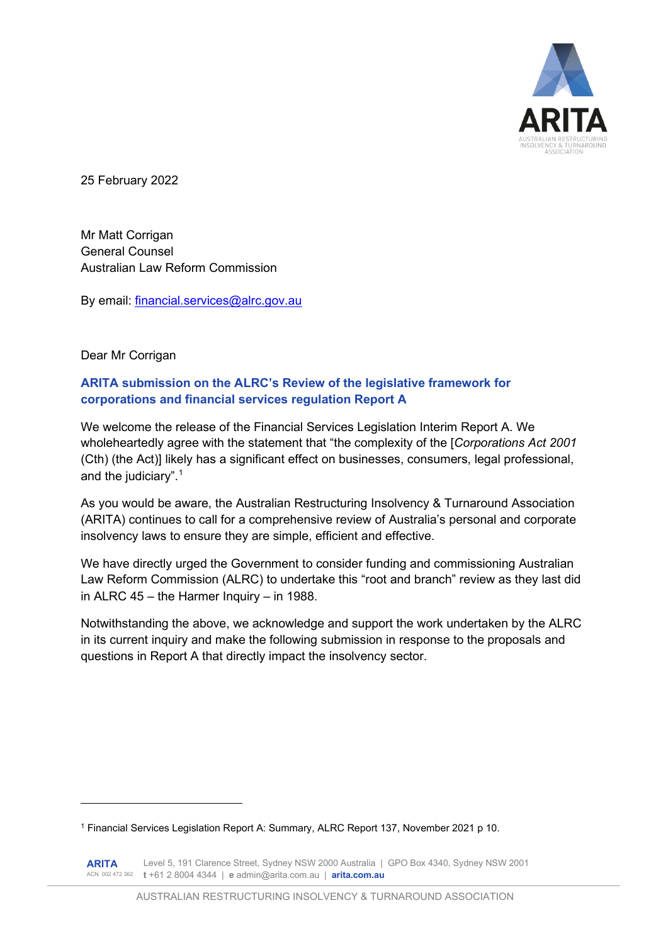

25 February 2022

Mr Matt Corrigan General Counsel Australian Law Reform Commission

By email: financial.services@alrc.gov.au

Dear Mr Corrigan

## **ARITA submission on the ALRC's Review of the legislative framework for corporations and financial services regulation Report A**

We welcome the release of the Financial Services Legislation Interim Report A. We wholeheartedly agree with the statement that "the complexity of the [*Corporations Act 2001* (Cth) (the Act)] likely has a significant effect on businesses, consumers, legal professional, and the judiciary".1

As you would be aware, the Australian Restructuring Insolvency & Turnaround Association (ARITA) continues to call for a comprehensive review of Australia's personal and corporate insolvency laws to ensure they are simple, efficient and effective.

We have directly urged the Government to consider funding and commissioning Australian Law Reform Commission (ALRC) to undertake this "root and branch" review as they last did in ALRC 45 – the Harmer Inquiry – in 1988.

Notwithstanding the above, we acknowledge and support the work undertaken by the ALRC in its current inquiry and make the following submission in response to the proposals and questions in Report A that directly impact the insolvency sector.

<sup>1</sup> Financial Services Legislation Report A: Summary, ALRC Report 137, November 2021 p 10.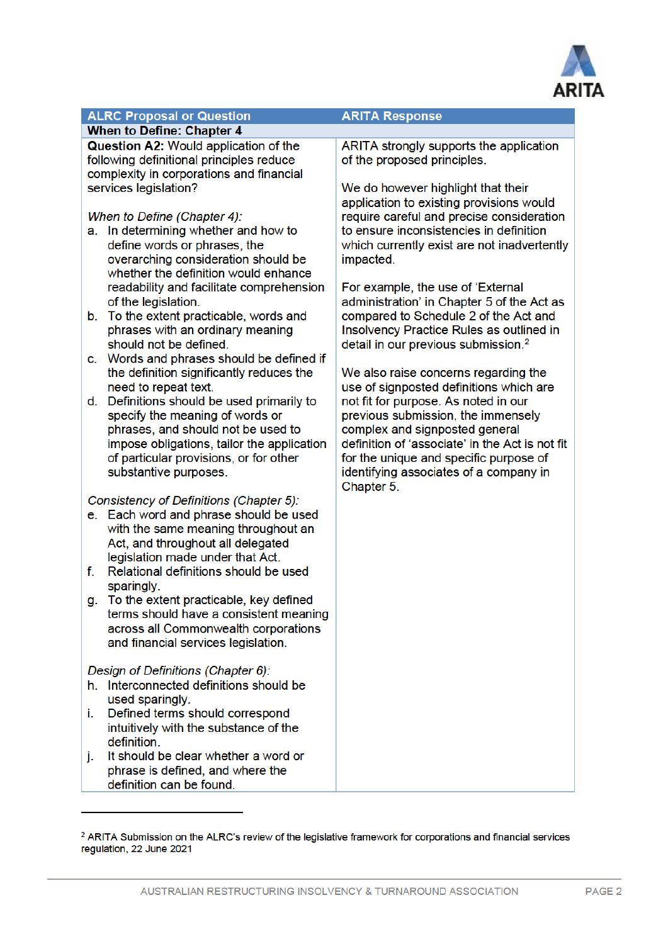

## **ALRC Proposal or Question**

### **When to Define: Chapter 4**

**Question A2: Would application of the** following definitional principles reduce complexity in corporations and financial services legislation?

When to Define (Chapter 4):

- a. In determining whether and how to define words or phrases, the overarching consideration should be whether the definition would enhance readability and facilitate comprehension of the legislation.
- b. To the extent practicable, words and phrases with an ordinary meaning should not be defined.
- c. Words and phrases should be defined if the definition significantly reduces the need to repeat text.
- d. Definitions should be used primarily to specify the meaning of words or phrases, and should not be used to impose obligations, tailor the application of particular provisions, or for other substantive purposes.

Consistency of Definitions (Chapter 5):

- e. Each word and phrase should be used with the same meaning throughout an Act, and throughout all delegated legislation made under that Act.
- f. Relational definitions should be used sparingly.
- g. To the extent practicable, key defined terms should have a consistent meaning across all Commonwealth corporations and financial services legislation.

### Design of Definitions (Chapter 6):

- h. Interconnected definitions should be used sparingly.
- i. Defined terms should correspond intuitively with the substance of the definition.
- i. It should be clear whether a word or phrase is defined, and where the definition can be found.

#### **ARITA Response**

ARITA strongly supports the application of the proposed principles.

We do however highlight that their application to existing provisions would require careful and precise consideration to ensure inconsistencies in definition which currently exist are not inadvertently impacted.

For example, the use of 'External administration' in Chapter 5 of the Act as compared to Schedule 2 of the Act and Insolvency Practice Rules as outlined in detail in our previous submission.<sup>2</sup>

We also raise concerns regarding the use of signposted definitions which are not fit for purpose. As noted in our previous submission, the immensely complex and signposted general definition of 'associate' in the Act is not fit for the unique and specific purpose of identifying associates of a company in Chapter 5.

<sup>&</sup>lt;sup>2</sup> ARITA Submission on the ALRC's review of the legislative framework for corporations and financial services regulation, 22 June 2021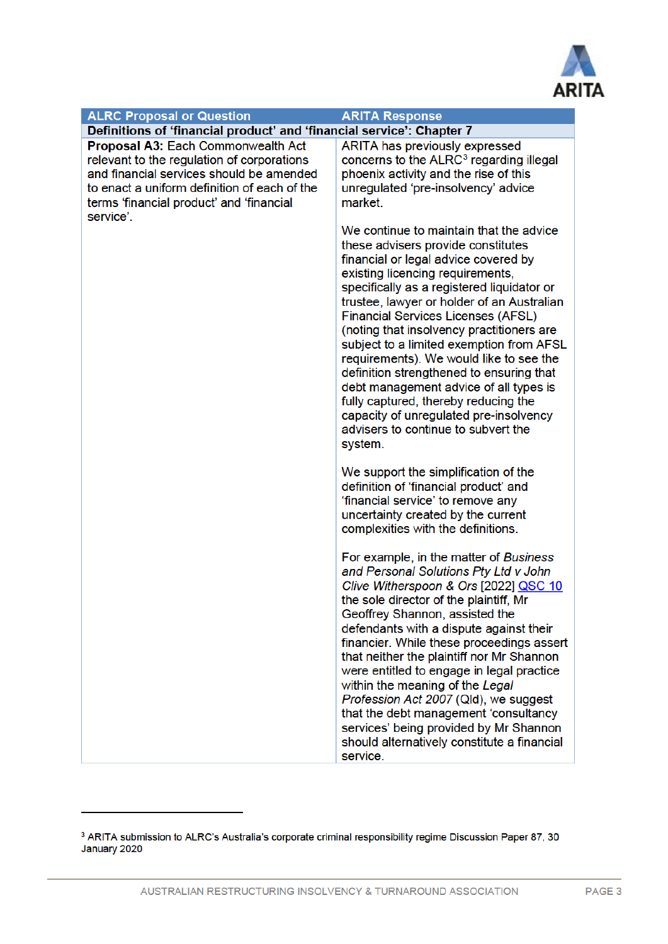

| <b>ALRC Proposal or Question</b>                                                                                                                                                                                                      | <b>ARITA Response</b>                                                                                                                                                                                                                                                                                                                                                                                                                                                                                                                                                                                                                                                                                    |
|---------------------------------------------------------------------------------------------------------------------------------------------------------------------------------------------------------------------------------------|----------------------------------------------------------------------------------------------------------------------------------------------------------------------------------------------------------------------------------------------------------------------------------------------------------------------------------------------------------------------------------------------------------------------------------------------------------------------------------------------------------------------------------------------------------------------------------------------------------------------------------------------------------------------------------------------------------|
| Definitions of 'financial product' and 'financial service': Chapter 7                                                                                                                                                                 |                                                                                                                                                                                                                                                                                                                                                                                                                                                                                                                                                                                                                                                                                                          |
| Proposal A3: Each Commonwealth Act<br>relevant to the regulation of corporations<br>and financial services should be amended<br>to enact a uniform definition of each of the<br>terms 'financial product' and 'financial<br>service'. | ARITA has previously expressed<br>concerns to the ALRC <sup>3</sup> regarding illegal<br>phoenix activity and the rise of this<br>unregulated 'pre-insolvency' advice<br>market.                                                                                                                                                                                                                                                                                                                                                                                                                                                                                                                         |
|                                                                                                                                                                                                                                       | We continue to maintain that the advice<br>these advisers provide constitutes<br>financial or legal advice covered by<br>existing licencing requirements,<br>specifically as a registered liquidator or<br>trustee, lawyer or holder of an Australian<br><b>Financial Services Licenses (AFSL)</b><br>(noting that insolvency practitioners are<br>subject to a limited exemption from AFSL<br>requirements). We would like to see the<br>definition strengthened to ensuring that<br>debt management advice of all types is<br>fully captured, thereby reducing the<br>capacity of unregulated pre-insolvency<br>advisers to continue to subvert the<br>system.<br>We support the simplification of the |
|                                                                                                                                                                                                                                       | definition of 'financial product' and<br>'financial service' to remove any<br>uncertainty created by the current<br>complexities with the definitions.                                                                                                                                                                                                                                                                                                                                                                                                                                                                                                                                                   |
|                                                                                                                                                                                                                                       | For example, in the matter of Business<br>and Personal Solutions Pty Ltd v John<br>Clive Witherspoon & Ors [2022] QSC 10<br>the sole director of the plaintiff, Mr<br>Geoffrey Shannon, assisted the<br>defendants with a dispute against their<br>financier. While these proceedings assert<br>that neither the plaintiff nor Mr Shannon<br>were entitled to engage in legal practice<br>within the meaning of the Legal<br>Profession Act 2007 (Qld), we suggest<br>that the debt management 'consultancy<br>services' being provided by Mr Shannon<br>should alternatively constitute a financial<br>service.                                                                                         |

<sup>&</sup>lt;sup>3</sup> ARITA submission to ALRC's Australia's corporate criminal responsibility regime Discussion Paper 87, 30 January 2020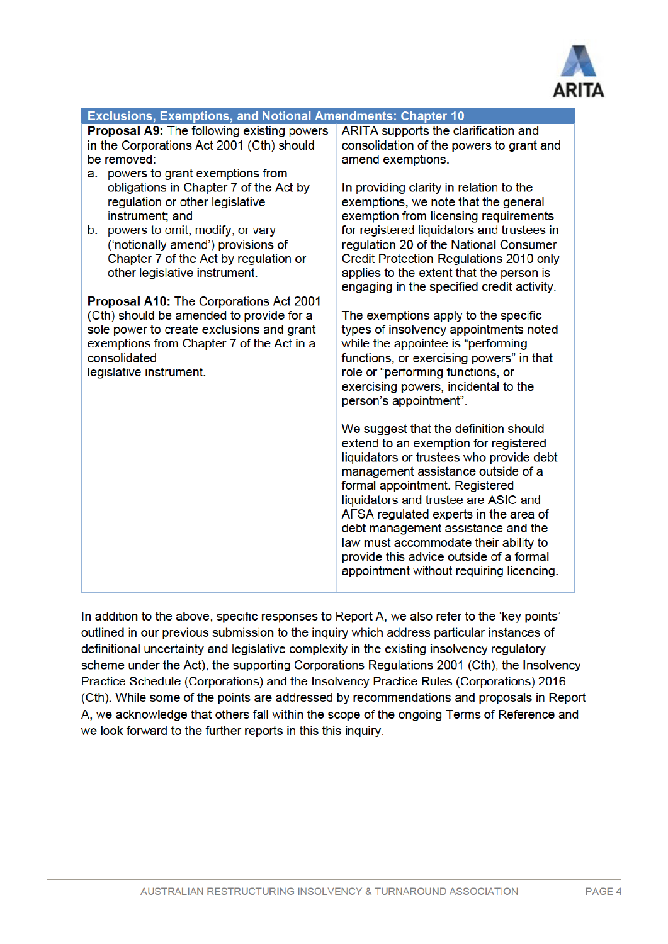

| <b>Exclusions, Exemptions, and Notional Amendments: Chapter 10</b> |                                                                                |
|--------------------------------------------------------------------|--------------------------------------------------------------------------------|
| <b>Proposal A9: The following existing powers</b>                  | ARITA supports the clarification and                                           |
| in the Corporations Act 2001 (Cth) should                          | consolidation of the powers to grant and                                       |
| be removed:                                                        | amend exemptions.                                                              |
| a. powers to grant exemptions from                                 |                                                                                |
| obligations in Chapter 7 of the Act by                             | In providing clarity in relation to the                                        |
| regulation or other legislative                                    | exemptions, we note that the general                                           |
| instrument; and                                                    | exemption from licensing requirements                                          |
| powers to omit, modify, or vary<br>b.                              | for registered liquidators and trustees in                                     |
| ('notionally amend') provisions of                                 | regulation 20 of the National Consumer                                         |
| Chapter 7 of the Act by regulation or                              | Credit Protection Regulations 2010 only                                        |
| other legislative instrument.                                      | applies to the extent that the person is                                       |
|                                                                    | engaging in the specified credit activity.                                     |
| Proposal A10: The Corporations Act 2001                            |                                                                                |
| (Cth) should be amended to provide for a                           | The exemptions apply to the specific                                           |
| sole power to create exclusions and grant                          | types of insolvency appointments noted                                         |
| exemptions from Chapter 7 of the Act in a                          | while the appointee is "performing                                             |
| consolidated                                                       | functions, or exercising powers" in that                                       |
| legislative instrument.                                            | role or "performing functions, or                                              |
|                                                                    | exercising powers, incidental to the                                           |
|                                                                    | person's appointment".                                                         |
|                                                                    |                                                                                |
|                                                                    | We suggest that the definition should                                          |
|                                                                    | extend to an exemption for registered                                          |
|                                                                    | liquidators or trustees who provide debt<br>management assistance outside of a |
|                                                                    | formal appointment. Registered                                                 |
|                                                                    | liquidators and trustee are ASIC and                                           |
|                                                                    | AFSA regulated experts in the area of                                          |
|                                                                    | debt management assistance and the                                             |
|                                                                    | law must accommodate their ability to                                          |
|                                                                    | provide this advice outside of a formal                                        |
|                                                                    | appointment without requiring licencing.                                       |
|                                                                    |                                                                                |

In addition to the above, specific responses to Report A, we also refer to the 'key points' outlined in our previous submission to the inquiry which address particular instances of definitional uncertainty and legislative complexity in the existing insolvency regulatory scheme under the Act), the supporting Corporations Regulations 2001 (Cth), the Insolvency Practice Schedule (Corporations) and the Insolvency Practice Rules (Corporations) 2016 (Cth). While some of the points are addressed by recommendations and proposals in Report A, we acknowledge that others fall within the scope of the ongoing Terms of Reference and we look forward to the further reports in this this inquiry.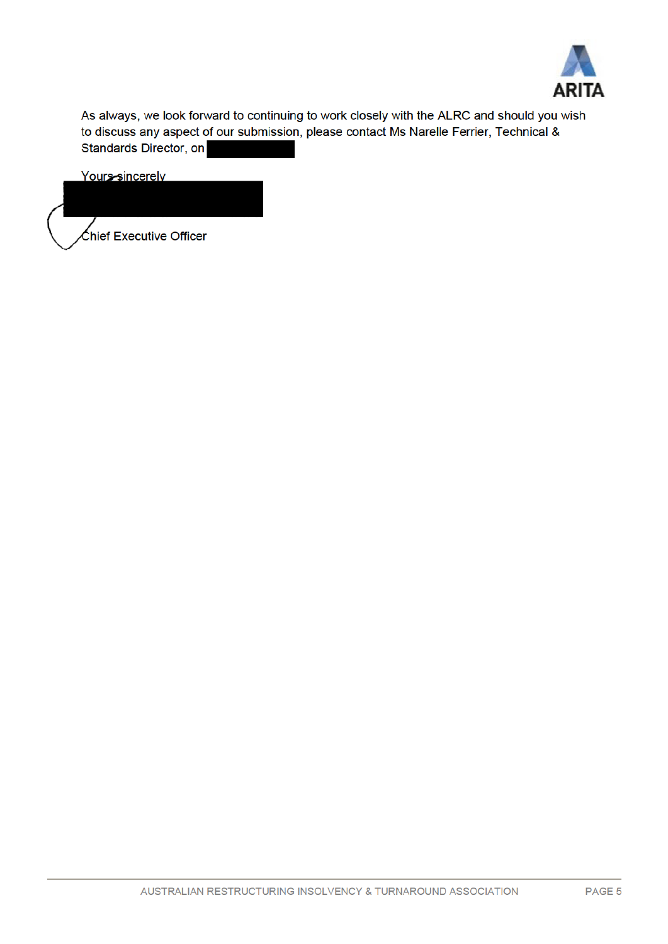

As always, we look forward to continuing to work closely with the ALRC and should you wish to discuss any aspect of our submission, please contact Ms Narelle Ferrier, Technical & Standards Director, on

Yours-sincerely